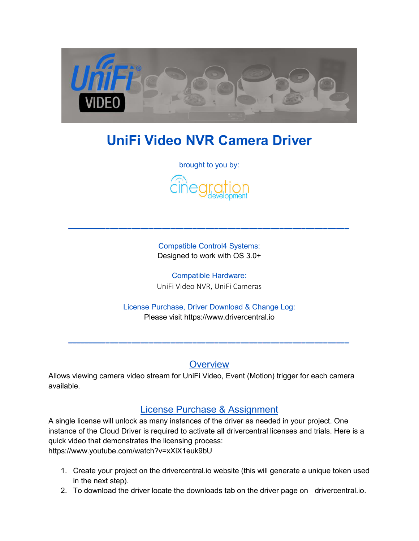

# **UniFi Video NVR Camera Driver**

brought to you by:



Compatible Control4 Systems: Designed to work with OS 3.0+

Compatible Hardware: UniFi Video NVR, UniFi Cameras

License Purchase, Driver Download & Change Log: Please visit [https://www.drivercentral.io](https://www.drivercentral.io/) 

**Overview** 

Allows viewing camera video stream for UniFi Video, Event (Motion) trigger for each camera available.

## License Purchase & Assignment

A single license will unlock as many instances of the driver as needed in your project. One instance of the Cloud Driver is required to activate all drivercentral licenses and trials. Here is a quick video that demonstrates the licensing process: <https://www.youtube.com/watch?v=xXiX1euk9bU>

- 1. Create your project on the drivercentral.io website (this will generate a unique token used in the next step).
- 2. To download the driver locate the downloads tab on the driver page on drivercentral.io.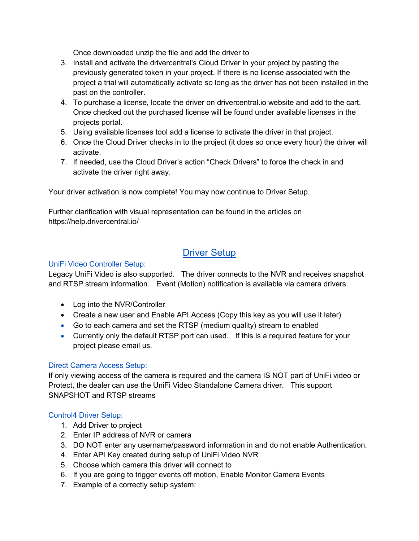Once downloaded unzip the file and add the driver to

- 3. Install and activate the drivercentral's Cloud Driver in your project by pasting the previously generated token in your project. If there is no license associated with the project a trial will automatically activate so long as the driver has not been installed in the past on the controller.
- 4. To purchase a license, locate the driver on drivercentral.io website and add to the cart. Once checked out the purchased license will be found under available licenses in the projects portal.
- 5. Using available licenses tool add a license to activate the driver in that project.
- 6. Once the Cloud Driver checks in to the project (it does so once every hour) the driver will activate.
- 7. If needed, use the Cloud Driver's action "Check Drivers" to force the check in and activate the driver right away.

Your driver activation is now complete! You may now continue to Driver Setup.

Further clarification with visual representation can be found in the articles on <https://help.drivercentral.io/>

## Driver Setup

## UniFi Video Controller Setup:

Legacy UniFi Video is also supported. The driver connects to the NVR and receives snapshot and RTSP stream information. Event (Motion) notification is available via camera drivers.

- Log into the NVR/Controller
- Create a new user and Enable API Access (Copy this key as you will use it later)
- Go to each camera and set the RTSP (medium quality) stream to enabled
- Currently only the default RTSP port can used. If this is a required feature for your project please email us.

## Direct Camera Access Setup:

If only viewing access of the camera is required and the camera IS NOT part of UniFi video or Protect, the dealer can use the UniFi Video Standalone Camera driver. This support SNAPSHOT and RTSP streams

## Control4 Driver Setup:

- 1. Add Driver to project
- 2. Enter IP address of NVR or camera
- 3. DO NOT enter any username/password information in and do not enable Authentication.
- 4. Enter API Key created during setup of UniFi Video NVR
- 5. Choose which camera this driver will connect to
- 6. If you are going to trigger events off motion, Enable Monitor Camera Events
- 7. Example of a correctly setup system: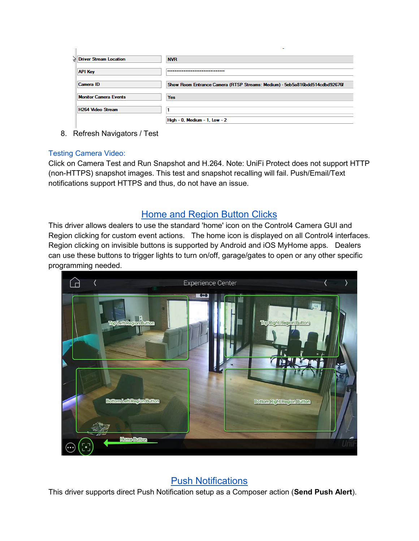| K, | <b>Driver Stream Location</b> | <b>NVR</b>                                                                  |
|----|-------------------------------|-----------------------------------------------------------------------------|
|    | <b>API Key</b>                |                                                                             |
|    | Camera ID                     | Show Room Entrance Camera (RTSP Streams: Medium) - 5eb5a816bdd514cdbd92676f |
|    | <b>Monitor Camera Events</b>  | <b>Yes</b>                                                                  |
|    | <b>H264 Video Stream</b>      |                                                                             |
|    |                               | High - 0, Medium - 1, Low - 2                                               |

8. Refresh Navigators / Test

#### Testing Camera Video:

Click on Camera Test and Run Snapshot and H.264. Note: UniFi Protect does not support HTTP (non-HTTPS) snapshot images. This test and snapshot recalling will fail. Push/Email/Text notifications support HTTPS and thus, do not have an issue.

## Home and Region Button Clicks

This driver allows dealers to use the standard 'home' icon on the Control4 Camera GUI and Region clicking for custom event actions. The home icon is displayed on all Control4 interfaces. Region clicking on invisible buttons is supported by Android and iOS MyHome apps. Dealers can use these buttons to trigger lights to turn on/off, garage/gates to open or any other specific programming needed.



Push Notifications

This driver supports direct Push Notification setup as a Composer action (**Send Push Alert**).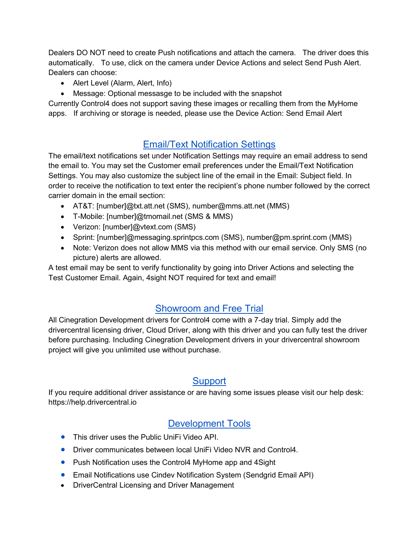Dealers DO NOT need to create Push notifications and attach the camera. The driver does this automatically. To use, click on the camera under Device Actions and select Send Push Alert. Dealers can choose:

- Alert Level (Alarm, Alert, Info)
- Message: Optional messasge to be included with the snapshot

Currently Control4 does not support saving these images or recalling them from the MyHome apps. If archiving or storage is needed, please use the Device Action: Send Email Alert

# Email/Text Notification Settings

The email/text notifications set under Notification Settings may require an email address to send the email to. You may set the Customer email preferences under the Email/Text Notification Settings. You may also customize the subject line of the email in the Email: Subject field. In order to receive the notification to text enter the recipient's phone number followed by the correct carrier domain in the email section:

- AT&T: [number]@txt.att.net (SMS), number@mms.att.net (MMS)
- T-Mobile: [number]@tmomail.net (SMS & MMS)
- Verizon: [number]@vtext.com (SMS)
- Sprint: [number]@messaging.sprintpcs.com (SMS), number@pm.sprint.com (MMS)
- Note: Verizon does not allow MMS via this method with our email service. Only SMS (no picture) alerts are allowed.

A test email may be sent to verify functionality by going into Driver Actions and selecting the Test Customer Email. Again, 4sight NOT required for text and email!

# Showroom and Free Trial

All Cinegration Development drivers for Control4 come with a 7-day trial. Simply add the drivercentral licensing driver, Cloud Driver, along with this driver and you can fully test the driver before purchasing. Including Cinegration Development drivers in your drivercentral showroom project will give you unlimited use without purchase.

# **Support**

If you require additional driver assistance or are having some issues please visit our help desk: [https://help.drivercentral.io](https://help.drivercentral.io/) 

# Development Tools

- **•** This driver uses the Public UniFi Video API.
- Driver communicates between local UniFi Video NVR and Control4.
- Push Notification uses the Control4 MyHome app and 4Sight
- Email Notifications use Cindev Notification System (Sendgrid Email API)
- DriverCentral Licensing and Driver Management